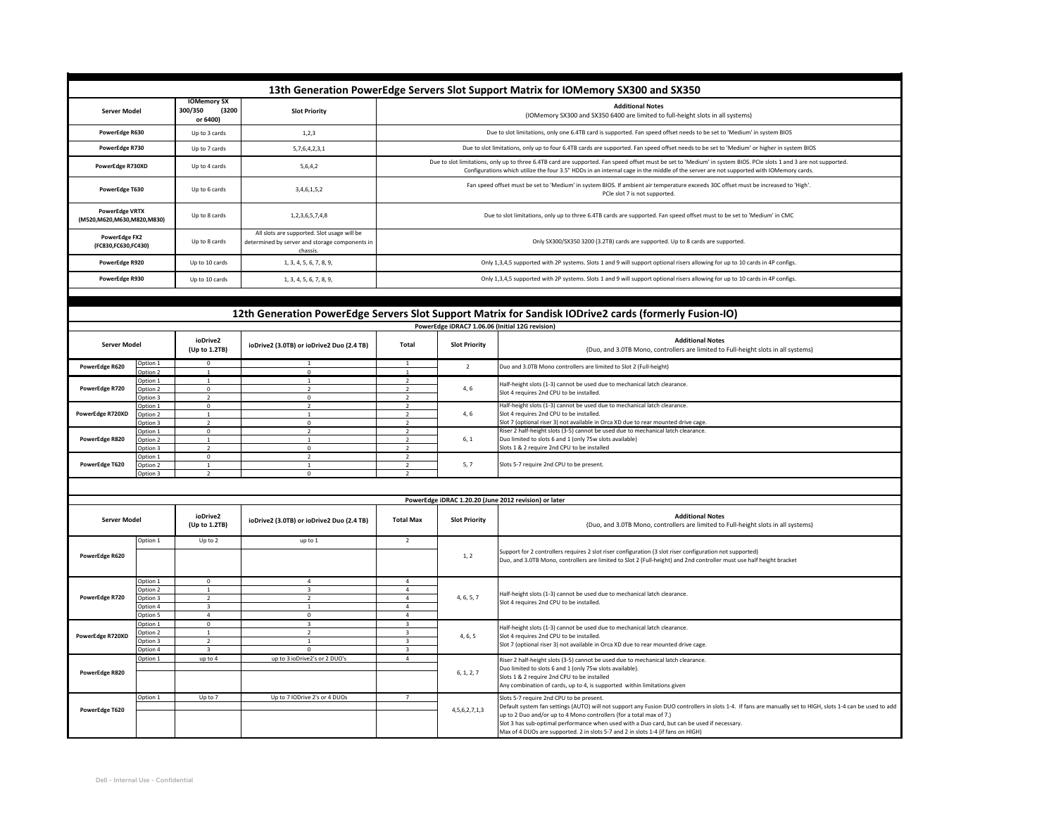| 13th Generation PowerEdge Servers Slot Support Matrix for IOMemory SX300 and SX350                    |                      |                                                    |                                                                                                           |                                                                                                                                                                                                                                                                                                              |                                                                                                            |                                                                                                                                                                                                                                                                                                                                                                                                                       |  |  |  |  |  |
|-------------------------------------------------------------------------------------------------------|----------------------|----------------------------------------------------|-----------------------------------------------------------------------------------------------------------|--------------------------------------------------------------------------------------------------------------------------------------------------------------------------------------------------------------------------------------------------------------------------------------------------------------|------------------------------------------------------------------------------------------------------------|-----------------------------------------------------------------------------------------------------------------------------------------------------------------------------------------------------------------------------------------------------------------------------------------------------------------------------------------------------------------------------------------------------------------------|--|--|--|--|--|
| <b>Server Model</b>                                                                                   |                      | <b>IOMemory SX</b><br>300/350<br>(3200<br>or 6400) | <b>Slot Priority</b>                                                                                      |                                                                                                                                                                                                                                                                                                              | <b>Additional Notes</b><br>(IOMemory SX300 and SX350 6400 are limited to full-height slots in all systems) |                                                                                                                                                                                                                                                                                                                                                                                                                       |  |  |  |  |  |
| PowerEdge R630                                                                                        |                      | Up to 3 cards                                      | 1, 2, 3                                                                                                   | Due to slot limitations, only one 6.4TB card is supported. Fan speed offset needs to be set to 'Medium' in system BIOS                                                                                                                                                                                       |                                                                                                            |                                                                                                                                                                                                                                                                                                                                                                                                                       |  |  |  |  |  |
| PowerEdge R730                                                                                        |                      | Up to 7 cards                                      | 5,7,6,4,2,3,1                                                                                             | Due to slot limitations, only up to four 6.4TB cards are supported. Fan speed offset needs to be set to 'Medium' or higher in system BIOS                                                                                                                                                                    |                                                                                                            |                                                                                                                                                                                                                                                                                                                                                                                                                       |  |  |  |  |  |
| PowerEdge R730XD                                                                                      |                      | Up to 4 cards                                      | 5,6,4,2                                                                                                   | Due to slot limitations, only up to three 6.4TB card are supported. Fan speed offset must be set to 'Medium' in system BIOS. PCIe slots 1 and 3 are not supported.<br>Configurations which utilize the four 3.5" HDDs in an internal cage in the middle of the server are not supported with IOMemory cards. |                                                                                                            |                                                                                                                                                                                                                                                                                                                                                                                                                       |  |  |  |  |  |
| PowerEdge T630                                                                                        |                      | Up to 6 cards                                      | 3,4,6,1,5,2                                                                                               | Fan speed offset must be set to 'Medium' in system BIOS. If ambient air temperature exceeds 30C offset must be increased to 'High'.<br>PCIe slot 7 is not supported.                                                                                                                                         |                                                                                                            |                                                                                                                                                                                                                                                                                                                                                                                                                       |  |  |  |  |  |
| <b>PowerEdge VRTX</b><br>(M520, M620, M630, M820, M830)                                               |                      | Up to 8 cards                                      | 1,2,3,6,5,7,4,8                                                                                           | Due to slot limitations, only up to three 6.4TB cards are supported. Fan speed offset must to be set to 'Medium' in CMC                                                                                                                                                                                      |                                                                                                            |                                                                                                                                                                                                                                                                                                                                                                                                                       |  |  |  |  |  |
| PowerEdge FX2<br>(FC830,FC630,FC430)                                                                  |                      | Up to 8 cards                                      | All slots are supported. Slot usage will be<br>determined by server and storage components in<br>chassis. | Only SX300/SX350 3200 (3.2TB) cards are supported. Up to 8 cards are supported.                                                                                                                                                                                                                              |                                                                                                            |                                                                                                                                                                                                                                                                                                                                                                                                                       |  |  |  |  |  |
| PowerEdge R920                                                                                        |                      | Up to 10 cards                                     | 1, 3, 4, 5, 6, 7, 8, 9,                                                                                   | Only 1,3,4,5 supported with 2P systems. Slots 1 and 9 will support optional risers allowing for up to 10 cards in 4P configs.                                                                                                                                                                                |                                                                                                            |                                                                                                                                                                                                                                                                                                                                                                                                                       |  |  |  |  |  |
| PowerEdge R930                                                                                        |                      | Up to 10 cards                                     | 1, 3, 4, 5, 6, 7, 8, 9,                                                                                   | Only 1,3,4,5 supported with 2P systems. Slots 1 and 9 will support optional risers allowing for up to 10 cards in 4P configs.                                                                                                                                                                                |                                                                                                            |                                                                                                                                                                                                                                                                                                                                                                                                                       |  |  |  |  |  |
|                                                                                                       |                      |                                                    |                                                                                                           |                                                                                                                                                                                                                                                                                                              |                                                                                                            |                                                                                                                                                                                                                                                                                                                                                                                                                       |  |  |  |  |  |
| 12th Generation PowerEdge Servers Slot Support Matrix for Sandisk IODrive2 cards (formerly Fusion-IO) |                      |                                                    |                                                                                                           |                                                                                                                                                                                                                                                                                                              |                                                                                                            |                                                                                                                                                                                                                                                                                                                                                                                                                       |  |  |  |  |  |
|                                                                                                       |                      |                                                    |                                                                                                           |                                                                                                                                                                                                                                                                                                              |                                                                                                            | PowerEdge iDRAC7 1.06.06 (Initial 12G revision)                                                                                                                                                                                                                                                                                                                                                                       |  |  |  |  |  |
|                                                                                                       |                      | ioDrive2                                           |                                                                                                           |                                                                                                                                                                                                                                                                                                              |                                                                                                            | <b>Additional Notes</b>                                                                                                                                                                                                                                                                                                                                                                                               |  |  |  |  |  |
| <b>Server Model</b>                                                                                   |                      | (Up to 1.2TB)                                      | ioDrive2 (3.0TB) or ioDrive2 Duo (2.4 TB)                                                                 | Total                                                                                                                                                                                                                                                                                                        | <b>Slot Priority</b>                                                                                       | (Duo, and 3.0TB Mono, controllers are limited to Full-height slots in all systems)                                                                                                                                                                                                                                                                                                                                    |  |  |  |  |  |
| PowerEdge R620                                                                                        | Option 1<br>Option 2 | $\Omega$<br>$\mathbf{1}$                           | $\mathbf{0}$                                                                                              | $\overline{1}$<br>$\overline{1}$                                                                                                                                                                                                                                                                             | $\overline{2}$                                                                                             | Duo and 3.0TB Mono controllers are limited to Slot 2 (Full-height)                                                                                                                                                                                                                                                                                                                                                    |  |  |  |  |  |
| PowerEdge R720                                                                                        | Option 1<br>Option 2 | $\mathbf{1}$<br>$\overline{0}$                     | $\mathbf{1}$<br>$\overline{2}$                                                                            | $\overline{2}$<br>$\overline{2}$                                                                                                                                                                                                                                                                             | 4, 6                                                                                                       | Half-height slots (1-3) cannot be used due to mechanical latch clearance.<br>Slot 4 requires 2nd CPU to be installed.                                                                                                                                                                                                                                                                                                 |  |  |  |  |  |
|                                                                                                       | Option 3<br>Option 1 | $\overline{z}$<br>$^{\circ}$                       | $\Omega$<br>$\overline{2}$                                                                                | $\mathcal{L}$<br>$\overline{\phantom{a}}$                                                                                                                                                                                                                                                                    |                                                                                                            | Half-height slots (1-3) cannot be used due to mechanical latch clearance.                                                                                                                                                                                                                                                                                                                                             |  |  |  |  |  |
| PowerEdge R720XD                                                                                      | Option 2             | $\overline{\phantom{a}}$                           | $\Omega$                                                                                                  | $\overline{\phantom{a}}$                                                                                                                                                                                                                                                                                     | 4, 6                                                                                                       | Slot 4 requires 2nd CPU to be installed.<br>Slot 7 (optional riser 3) not available in Orca XD due to rear mounted drive cage                                                                                                                                                                                                                                                                                         |  |  |  |  |  |
|                                                                                                       | Option 3<br>ption 1  | $\mathbf 0$                                        | $\overline{z}$                                                                                            |                                                                                                                                                                                                                                                                                                              |                                                                                                            | Riser 2 half-height slots (3-5) cannot be used due to mechanical latch clearance.                                                                                                                                                                                                                                                                                                                                     |  |  |  |  |  |
| PowerEdge R820                                                                                        | Option 2             |                                                    |                                                                                                           |                                                                                                                                                                                                                                                                                                              | 6, 1                                                                                                       | Duo limited to slots 6 and 1 (only 75w slots available)                                                                                                                                                                                                                                                                                                                                                               |  |  |  |  |  |
|                                                                                                       | Intion 3<br>Option 1 | $\mathbf 0$                                        | $\Omega$<br>$\overline{z}$                                                                                | $\overline{z}$                                                                                                                                                                                                                                                                                               |                                                                                                            | Slots 1 & 2 require 2nd CPU to be installed                                                                                                                                                                                                                                                                                                                                                                           |  |  |  |  |  |
| PowerEdge T620                                                                                        | Option 2             | $1\,$                                              | $\mathbf{1}$                                                                                              | $\overline{2}$                                                                                                                                                                                                                                                                                               | 5, 7                                                                                                       | Slots 5-7 require 2nd CPU to be present.                                                                                                                                                                                                                                                                                                                                                                              |  |  |  |  |  |
|                                                                                                       | Option 3             |                                                    | $\Omega$                                                                                                  |                                                                                                                                                                                                                                                                                                              |                                                                                                            |                                                                                                                                                                                                                                                                                                                                                                                                                       |  |  |  |  |  |
|                                                                                                       |                      |                                                    |                                                                                                           |                                                                                                                                                                                                                                                                                                              |                                                                                                            |                                                                                                                                                                                                                                                                                                                                                                                                                       |  |  |  |  |  |
|                                                                                                       |                      |                                                    |                                                                                                           |                                                                                                                                                                                                                                                                                                              |                                                                                                            | PowerEdge iDRAC 1.20.20 (June 2012 revision) or later                                                                                                                                                                                                                                                                                                                                                                 |  |  |  |  |  |
| <b>Server Model</b>                                                                                   |                      | ioDrive2<br>(Up to 1.2TB)                          | ioDrive2 (3.0TB) or ioDrive2 Duo (2.4 TB)                                                                 | <b>Total Max</b>                                                                                                                                                                                                                                                                                             | <b>Slot Priority</b>                                                                                       | <b>Additional Notes</b><br>(Duo, and 3.0TB Mono, controllers are limited to Full-height slots in all systems)                                                                                                                                                                                                                                                                                                         |  |  |  |  |  |
|                                                                                                       | Option 1             | Up to 2                                            | up to 1                                                                                                   | $\overline{2}$                                                                                                                                                                                                                                                                                               |                                                                                                            |                                                                                                                                                                                                                                                                                                                                                                                                                       |  |  |  |  |  |
| PowerEdge R620                                                                                        |                      |                                                    |                                                                                                           |                                                                                                                                                                                                                                                                                                              | 1.2                                                                                                        | iupport for 2 controllers requires 2 slot riser configuration (3 slot riser configuration not supported)<br>Duo, and 3.0TB Mono, controllers are limited to Slot 2 (Full-height) and 2nd controller must use half height bracket                                                                                                                                                                                      |  |  |  |  |  |
| PowerEdge R720                                                                                        | Option 1             | $^{\circ}$                                         | $\overline{4}$                                                                                            | $\overline{4}$                                                                                                                                                                                                                                                                                               |                                                                                                            | Half-height slots (1-3) cannot be used due to mechanical latch clearance.<br>Slot 4 requires 2nd CPU to be installed.                                                                                                                                                                                                                                                                                                 |  |  |  |  |  |
|                                                                                                       | Option 2             | <sup>1</sup><br>$\overline{2}$                     | $\overline{3}$                                                                                            | $\overline{4}$<br>$\mathbf{A}$                                                                                                                                                                                                                                                                               | 4, 6, 5, 7                                                                                                 |                                                                                                                                                                                                                                                                                                                                                                                                                       |  |  |  |  |  |
|                                                                                                       | Option 3<br>Option 4 | $\overline{\mathbf{3}}$                            | $\mathbf{1}$                                                                                              | $\Delta$                                                                                                                                                                                                                                                                                                     |                                                                                                            |                                                                                                                                                                                                                                                                                                                                                                                                                       |  |  |  |  |  |
|                                                                                                       | Option 5             | $\overline{4}$                                     | $\Omega$                                                                                                  |                                                                                                                                                                                                                                                                                                              |                                                                                                            |                                                                                                                                                                                                                                                                                                                                                                                                                       |  |  |  |  |  |
| PowerEdge R720XD                                                                                      | Option 1             | $\mathbf 0$                                        | з                                                                                                         |                                                                                                                                                                                                                                                                                                              | 4, 6, 5                                                                                                    | Half-height slots (1-3) cannot be used due to mechanical latch clearance.<br>Slot 4 requires 2nd CPU to be installed.<br>Slot 7 (optional riser 3) not available in Orca XD due to rear mounted drive cage.                                                                                                                                                                                                           |  |  |  |  |  |
|                                                                                                       | Option 2<br>ption 3  | $\mathbf{1}$<br>$\overline{z}$                     | $\overline{z}$<br>$\overline{1}$                                                                          | $\overline{a}$                                                                                                                                                                                                                                                                                               |                                                                                                            |                                                                                                                                                                                                                                                                                                                                                                                                                       |  |  |  |  |  |
|                                                                                                       | Ontion 4             |                                                    | $\Omega$                                                                                                  | $\overline{a}$                                                                                                                                                                                                                                                                                               |                                                                                                            |                                                                                                                                                                                                                                                                                                                                                                                                                       |  |  |  |  |  |
| PowerEdge R820                                                                                        | Option 1             | up to 4                                            | up to 3 ioDrive2's or 2 DUO's                                                                             | $\overline{a}$                                                                                                                                                                                                                                                                                               | 6, 1, 2, 7                                                                                                 | Riser 2 half-height slots (3-5) cannot be used due to mechanical latch clearance.<br>Duo limited to slots 6 and 1 (only 75w slots available).<br>Slots 1 & 2 require 2nd CPU to be installed<br>Any combination of cards, up to 4, is supported within limitations given                                                                                                                                              |  |  |  |  |  |
|                                                                                                       |                      |                                                    |                                                                                                           |                                                                                                                                                                                                                                                                                                              |                                                                                                            |                                                                                                                                                                                                                                                                                                                                                                                                                       |  |  |  |  |  |
|                                                                                                       | Option 1             | Up to 7                                            | Up to 7 IODrive 2's or 4 DUOs                                                                             | $\overline{7}$                                                                                                                                                                                                                                                                                               | 4, 5, 6, 2, 7, 1, 3                                                                                        | Slots 5-7 require 2nd CPU to be present.                                                                                                                                                                                                                                                                                                                                                                              |  |  |  |  |  |
| PowerEdge T620                                                                                        |                      |                                                    |                                                                                                           |                                                                                                                                                                                                                                                                                                              |                                                                                                            | Default system fan settings (AUTO) will not support any Fusion DUO controllers in slots 1-4. If fans are manually set to HIGH, slots 1-4 can be used to add<br>up to 2 Duo and/or up to 4 Mono controllers (for a total max of 7.)<br>Slot 3 has sub-optimal performance when used with a Duo card, but can be used if necessary.<br>Max of 4 DUOs are supported. 2 in slots 5-7 and 2 in slots 1-4 (if fans on HIGH) |  |  |  |  |  |
|                                                                                                       |                      |                                                    |                                                                                                           |                                                                                                                                                                                                                                                                                                              |                                                                                                            |                                                                                                                                                                                                                                                                                                                                                                                                                       |  |  |  |  |  |